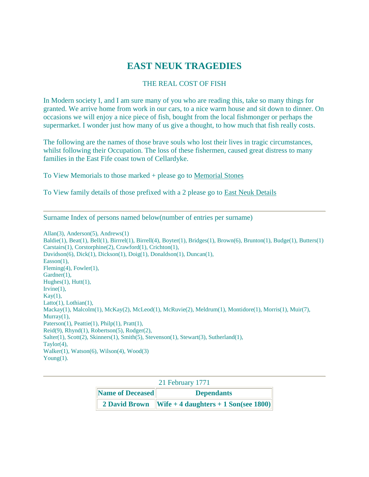### **EAST NEUK TRAGEDIES**

#### THE REAL COST OF FISH

In Modern society I, and I am sure many of you who are reading this, take so many things for granted. We arrive home from work in our cars, to a nice warm house and sit down to dinner. On occasions we will enjoy a nice piece of fish, bought from the local fishmonger or perhaps the supermarket. I wonder just how many of us give a thought, to how much that fish really costs.

The following are the names of those brave souls who lost their lives in tragic circumstances, whilst following their Occupation. The loss of these fishermen, caused great distress to many families in the East Fife coast town of Cellardyke.

To View Memorials to those marked + please go to [Memorial Stones](http://www.ffhsoc.freeserve.co.uk/memorial.htm)

To View family details of those prefixed with a 2 please go to [East Neuk Details](http://fifefhs.org/Records/eastneukdetails.htm)

Surname Index of persons named below(number of entries per surname)

Allan(3), Anderson(5), Andrews(1)  $Baldie(1), Beat(1), Bell(1), Birrell(4), Boyter(1), Bridges(1), Brown(6), Brunton(1), Budge(1), Butters(1)$ Carstairs(1), Corstorphine(2), Crawford(1), Crichton(1), Davidson(6), Dick(1), Dickson(1), Doig(1), Donaldson(1), Duncan(1), Easson(1), Fleming(4), Fowler(1), Gardner(1), Hughes $(1)$ , Hutt $(1)$ , Irvine $(1)$ ,  $Kay(1)$ ,  $Latto(1)$ ,  $Lothian(1)$ , Mackay(1), Malcolm(1), McKay(2), McLeod(1), McRuvie(2), Meldrum(1), Montidore(1), Morris(1), Muir(7),  $Murray(1)$ , Paterson(1), Peattie(1), Philp(1), Pratt(1), Reid(9), Rhynd(1), Robertson(5), Rodger(2), Salter(1), Scott(2), Skinners(1), Smith(5), Stevenson(1), Stewart(3), Sutherland(1), Taylor(4), Walker(1), Watson(6), Wilson(4), Wood(3) Young $(1)$ .

| 21 February 1771 |                                                                         |  |
|------------------|-------------------------------------------------------------------------|--|
| Name of Deceased | <b>Dependants</b>                                                       |  |
|                  | 2 David Brown $\ Wife + 4 \text{ daughters} + 1 \text{ Son(see } 1800)$ |  |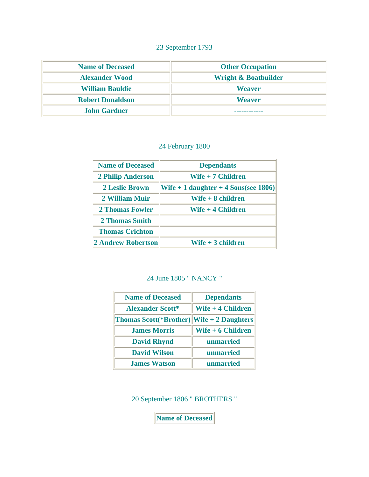### 23 September 1793

| <b>Name of Deceased</b> | <b>Other Occupation</b>         |
|-------------------------|---------------------------------|
| <b>Alexander Wood</b>   | <b>Wright &amp; Boatbuilder</b> |
| <b>William Bauldie</b>  | <b>Weaver</b>                   |
| <b>Robert Donaldson</b> | <b>Weaver</b>                   |
| <b>John Gardner</b>     |                                 |

### 24 February 1800

| <b>Name of Deceased</b>   | <b>Dependants</b>                      |  |
|---------------------------|----------------------------------------|--|
| <b>2 Philip Anderson</b>  | Wife + 7 Children                      |  |
| <b>2 Leslie Brown</b>     | Wife $+1$ daughter $+4$ Sons(see 1806) |  |
| 2 William Muir            | Wife + 8 children                      |  |
| <b>2 Thomas Fowler</b>    | Wife + 4 Children                      |  |
| 2 Thomas Smith            |                                        |  |
| <b>Thomas Crichton</b>    |                                        |  |
| <b>2 Andrew Robertson</b> | $W$ ife + 3 children                   |  |

### 24 June 1805 " NANCY "

| <b>Name of Deceased</b>                   | <b>Dependants</b>  |
|-------------------------------------------|--------------------|
| <b>Alexander Scott*</b>                   | Wife $+4$ Children |
| Thomas Scott(*Brother) Wife + 2 Daughters |                    |
| <b>James Morris</b>                       | Wife + 6 Children  |
| <b>David Rhynd</b>                        | unmarried          |
| <b>David Wilson</b>                       | unmarried          |
| <b>James Watson</b>                       | unmarried          |

20 September 1806 " BROTHERS "

**Name of Deceased**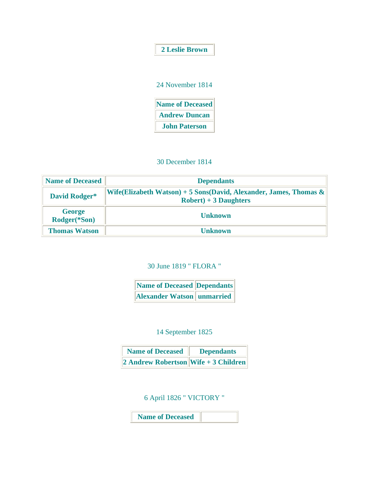|  | <b>2 Leslie Brown</b> |
|--|-----------------------|
|  |                       |

| 24 November 1814        |  |
|-------------------------|--|
| <b>Name of Deceased</b> |  |
| <b>Andrew Duncan</b>    |  |
| <b>John Paterson</b>    |  |

#### 30 December 1814

| <b>Name of Deceased</b>       | <b>Dependants</b>                                                                               |  |
|-------------------------------|-------------------------------------------------------------------------------------------------|--|
| David Rodger*                 | Wife(Elizabeth Watson) + 5 Sons(David, Alexander, James, Thomas $\&$<br>$Robert) + 3$ Daughters |  |
| <b>George</b><br>Rodger(*Son) | <b>Unknown</b>                                                                                  |  |
| <b>Thomas Watson</b>          | <b>Unknown</b>                                                                                  |  |

30 June 1819 " FLORA "

| Name of Deceased Dependants       |  |
|-----------------------------------|--|
| <b>Alexander Watson unmarried</b> |  |

### 14 September 1825

| <b>Name of Deceased</b>                  | <b>Dependants</b> |
|------------------------------------------|-------------------|
| $\ 2$ Andrew Robertson Wife + 3 Children |                   |

# 6 April 1826 " VICTORY "

**Name of Deceased**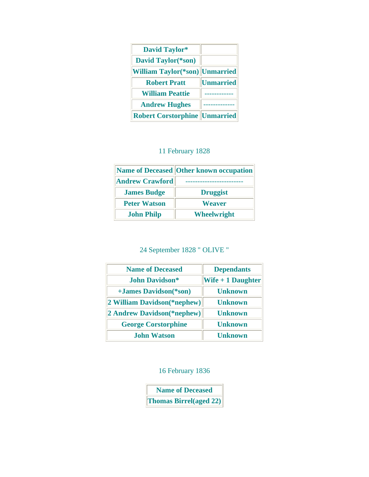| <b>David Taylor*</b>                   |                  |
|----------------------------------------|------------------|
| David Taylor(*son)                     |                  |
| <b>William Taylor</b> (*son) Unmarried |                  |
| <b>Robert Pratt</b>                    | <b>Unmarried</b> |
| <b>William Peattie</b>                 |                  |
| <b>Andrew Hughes</b>                   |                  |
| <b>Robert Corstorphine</b>             | Unmarried        |

### 11 February 1828

|                        | Name of Deceased Other known occupation |
|------------------------|-----------------------------------------|
| <b>Andrew Crawford</b> |                                         |
| <b>James Budge</b>     | <b>Druggist</b>                         |
| <b>Peter Watson</b>    | <b>Weaver</b>                           |
| <b>John Philp</b>      | <b>Wheelwright</b>                      |

# 24 September 1828 " OLIVE "

| <b>Name of Deceased</b>     | <b>Dependants</b>  |
|-----------------------------|--------------------|
| John Davidson*              | Wife $+1$ Daughter |
| +James Davidson(*son)       | <b>Unknown</b>     |
| 2 William Davidson(*nephew) | <b>Unknown</b>     |
| 2 Andrew Davidson(*nephew)  | <b>Unknown</b>     |
| <b>George Corstorphine</b>  | <b>Unknown</b>     |
| <b>John Watson</b>          | <b>Unknown</b>     |

### 16 February 1836

**Name of Deceased Thomas Birrel(aged 22)**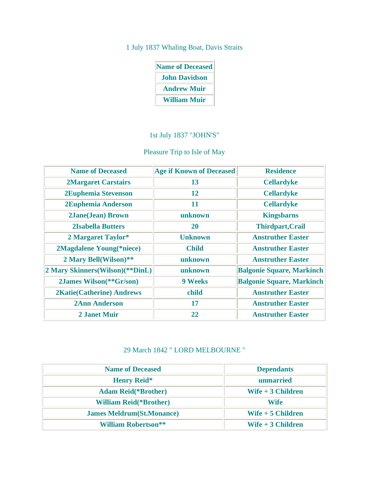### 1 July 1837 Whaling Boat, Davis Straits

| <b>Name of Deceased</b> |  |  |
|-------------------------|--|--|
| <b>John Davidson</b>    |  |  |
| <b>Andrew Muir</b>      |  |  |
| <b>William Muir</b>     |  |  |

### 1st July 1837 "JOHN'S"

### Pleasure Trip to Isle of May

| <b>Name of Deceased</b>            | <b>Age if Known of Deceased</b> | <b>Residence</b>                 |
|------------------------------------|---------------------------------|----------------------------------|
| <b>2Margaret Carstairs</b>         | 13                              | <b>Cellardyke</b>                |
| 2Euphemia Stevenson                | 12                              | <b>Cellardyke</b>                |
| 2Euphemia Anderson                 | 11                              | <b>Cellardyke</b>                |
| <b>2Jane(Jean) Brown</b>           | unknown                         | <b>Kingsbarns</b>                |
| <b>2Isabella Butters</b>           | 20                              | <b>Thirdpart, Crail</b>          |
| 2 Margaret Taylor*                 | <b>Unknown</b>                  | <b>Anstruther Easter</b>         |
| 2Magdalene Young(*niece)           | <b>Child</b>                    | <b>Anstruther Easter</b>         |
| 2 Mary Bell(Wilson)**              | unknown                         | <b>Anstruther Easter</b>         |
| 2 Mary Skinners (Wilson) (** DinL) | unknown                         | <b>Balgonie Square, Markinch</b> |
| 2James Wilson(**Gr/son)            | <b>9 Weeks</b>                  | <b>Balgonie Square, Markinch</b> |
| <b>2Katie(Catherine) Andrews</b>   | child                           | <b>Anstruther Easter</b>         |
| <b>2Ann Anderson</b>               | 17                              | <b>Anstruther Easter</b>         |
| <b>2 Janet Muir</b>                | 22                              | <b>Anstruther Easter</b>         |

### 29 March 1842 " LORD MELBOURNE "

| <b>Name of Deceased</b>           | <b>Dependants</b>  |
|-----------------------------------|--------------------|
| <b>Henry Reid*</b>                | unmarried          |
| <b>Adam Reid</b> (*Brother)       | Wife $+3$ Children |
| <b>William Reid</b> (*Brother)    | Wife               |
| <b>James Meldrum</b> (St.Monance) | Wife $+5$ Children |
| <b>William Robertson**</b>        | Wife $+3$ Children |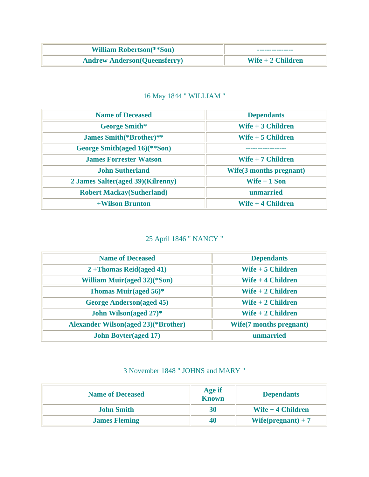| <b>William Robertson</b> (**Son)     | ---------------    |
|--------------------------------------|--------------------|
| <b>Andrew Anderson (Queensferry)</b> | Wife $+2$ Children |

## 16 May 1844 " WILLIAM "

| <b>Name of Deceased</b>           | <b>Dependants</b>              |
|-----------------------------------|--------------------------------|
| <b>George Smith*</b>              | Wife $+3$ Children             |
| <b>James Smith</b> (*Brother)**   | Wife $+5$ Children             |
| George Smith(aged 16)(**Son)      |                                |
| <b>James Forrester Watson</b>     | Wife $+7$ Children             |
| <b>John Sutherland</b>            | <b>Wife(3 months pregnant)</b> |
| 2 James Salter(aged 39)(Kilrenny) | Wife $+1$ Son                  |
| <b>Robert Mackay(Sutherland)</b>  | unmarried                      |
| +Wilson Brunton                   | Wife $+4$ Children             |

# 25 April 1846 " NANCY "

| <b>Name of Deceased</b>                    | <b>Dependants</b>              |
|--------------------------------------------|--------------------------------|
| $2 + Thomas Reid(aged 41)$                 | Wife $+5$ Children             |
| <b>William Muir(aged 32)(*Son)</b>         | Wife $+4$ Children             |
| Thomas Muir(aged $56$ <sup>*</sup>         | Wife $+2$ Children             |
| <b>George Anderson</b> (aged 45)           | Wife $+2$ Children             |
| John Wilson(aged 27)*                      | Wife $+2$ Children             |
| <b>Alexander Wilson(aged 23)(*Brother)</b> | <b>Wife(7 months pregnant)</b> |
| <b>John Boyter(aged 17)</b>                | unmarried                      |

### 3 November 1848 " JOHNS and MARY "

| <b>Name of Deceased</b> | <b>Age if</b><br><b>Known</b> | <b>Dependants</b>    |
|-------------------------|-------------------------------|----------------------|
| <b>John Smith</b>       | 30                            | Wife $+4$ Children   |
| <b>James Fleming</b>    | 40                            | $Wif (pregnant) + 7$ |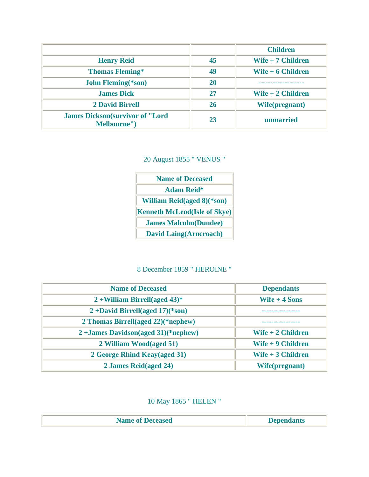|                                                        |    | <b>Children</b>    |
|--------------------------------------------------------|----|--------------------|
| <b>Henry Reid</b>                                      | 45 | Wife $+7$ Children |
| <b>Thomas Fleming*</b>                                 | 49 | Wife $+6$ Children |
| <b>John Fleming</b> (*son)                             | 20 |                    |
| <b>James Dick</b>                                      | 27 | Wife $+2$ Children |
| <b>2 David Birrell</b>                                 | 26 | Wife(pregnant)     |
| <b>James Dickson</b> (survivor of "Lord<br>Melbourne") | 23 | unmarried          |

20 August 1855 " VENUS "

| <b>Name of Deceased</b>             |  |  |
|-------------------------------------|--|--|
| <b>Adam Reid*</b>                   |  |  |
| <b>William Reid(aged 8)</b> (*son)  |  |  |
| <b>Kenneth McLeod(Isle of Skye)</b> |  |  |
| <b>James Malcolm(Dundee)</b>        |  |  |
| <b>David Laing(Arncroach)</b>       |  |  |

# 8 December 1859 " HEROINE "

| <b>Name of Deceased</b>                | <b>Dependants</b>  |
|----------------------------------------|--------------------|
| $2 +$ William Birrell(aged 43)*        | Wife $+4$ Sons     |
| $2 + David Birrell(aged 17)(*son)$     |                    |
| 2 Thomas Birrell(aged 22)(*nephew)     |                    |
| $2 + James Davidson(aged 31)(*nephew)$ | Wife + 2 Children  |
| 2 William Wood(aged 51)                | Wife $+9$ Children |
| 2 George Rhind Keay(aged 31)           | Wife $+3$ Children |
| 2 James Reid(aged 24)                  | Wife(pregnant)     |

# 10 May 1865 " HELEN "

| <b>Name of Deceased</b> | <b>Dependants</b> |
|-------------------------|-------------------|
|                         |                   |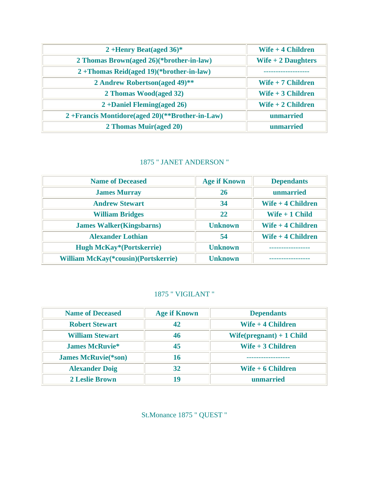| 2+Henry Beat(aged $36$ <sup>*</sup>            | Wife + 4 Children    |
|------------------------------------------------|----------------------|
| 2 Thomas Brown(aged 26)(*brother-in-law)       | Wife $+2$ Daughters  |
| $2 + Thomas Reid(aged 19)(* brother-in-law)$   |                      |
| 2 Andrew Robertson(aged 49)**                  | $W$ ife + 7 Children |
| 2 Thomas Wood(aged 32)                         | Wife + 3 Children    |
| $2 + Daniel Fleming(aged 26)$                  | Wife $+2$ Children   |
| 2+Francis Montidore(aged 20)(**Brother-in-Law) | unmarried            |
| 2 Thomas Muir(aged 20)                         | unmarried            |

### 1875 " JANET ANDERSON "

| <b>Name of Deceased</b>                     | <b>Age if Known</b> | <b>Dependants</b>  |
|---------------------------------------------|---------------------|--------------------|
| <b>James Murray</b>                         | 26                  | unmarried          |
| <b>Andrew Stewart</b>                       | 34                  | Wife $+4$ Children |
| <b>William Bridges</b>                      | 22                  | Wife $+1$ Child    |
| <b>James Walker(Kingsbarns)</b>             | <b>Unknown</b>      | Wife $+4$ Children |
| <b>Alexander Lothian</b>                    | 54                  | Wife + 4 Children  |
| <b>Hugh McKay*(Portskerrie)</b>             | <b>Unknown</b>      | -------------      |
| <b>William McKay</b> (*cousin)(Portskerrie) | <b>Unknown</b>      |                    |

### 1875 " VIGILANT "

| <b>Name of Deceased</b>     | <b>Age if Known</b> | <b>Dependants</b>          |
|-----------------------------|---------------------|----------------------------|
| <b>Robert Stewart</b>       |                     | Wife + 4 Children          |
| <b>William Stewart</b>      | 46                  | $Wife(prequent) + 1 Child$ |
| <b>James McRuvie*</b>       | 45                  | Wife $+3$ Children         |
| <b>James McRuvie</b> (*son) | 16                  |                            |
| <b>Alexander Doig</b>       | 32                  | Wife + 6 Children          |
| <b>2 Leslie Brown</b>       | 19                  | unmarried                  |

St.Monance 1875 " QUEST "